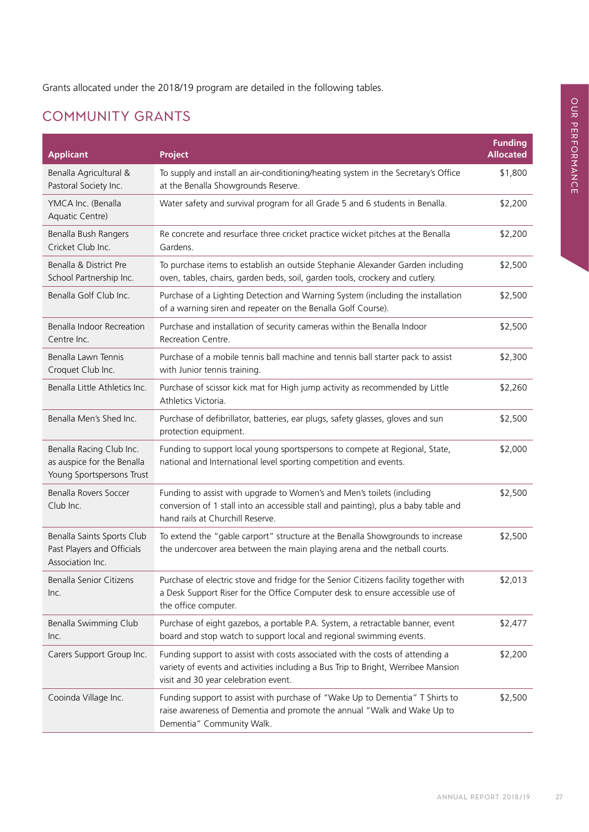Grants allocated under the 2018/19 program are detailed in the following tables.

## Community Grants

| <b>Applicant</b>                                                                    | <b>Project</b>                                                                                                                                                                                             | <b>Funding</b><br><b>Allocated</b> |
|-------------------------------------------------------------------------------------|------------------------------------------------------------------------------------------------------------------------------------------------------------------------------------------------------------|------------------------------------|
| Benalla Agricultural &<br>Pastoral Society Inc.                                     | To supply and install an air-conditioning/heating system in the Secretary's Office<br>at the Benalla Showgrounds Reserve.                                                                                  | \$1,800                            |
| YMCA Inc. (Benalla<br>Aquatic Centre)                                               | Water safety and survival program for all Grade 5 and 6 students in Benalla.                                                                                                                               | \$2,200                            |
| Benalla Bush Rangers<br>Cricket Club Inc.                                           | Re concrete and resurface three cricket practice wicket pitches at the Benalla<br>Gardens.                                                                                                                 | \$2,200                            |
| Benalla & District Pre<br>School Partnership Inc.                                   | To purchase items to establish an outside Stephanie Alexander Garden including<br>oven, tables, chairs, garden beds, soil, garden tools, crockery and cutlery.                                             | \$2,500                            |
| Benalla Golf Club Inc.                                                              | Purchase of a Lighting Detection and Warning System (including the installation<br>of a warning siren and repeater on the Benalla Golf Course).                                                            | \$2,500                            |
| Benalla Indoor Recreation<br>Centre Inc.                                            | Purchase and installation of security cameras within the Benalla Indoor<br>Recreation Centre.                                                                                                              | \$2,500                            |
| Benalla Lawn Tennis<br>Croquet Club Inc.                                            | Purchase of a mobile tennis ball machine and tennis ball starter pack to assist<br>with Junior tennis training.                                                                                            | \$2,300                            |
| Benalla Little Athletics Inc.                                                       | Purchase of scissor kick mat for High jump activity as recommended by Little<br>Athletics Victoria.                                                                                                        | \$2,260                            |
| Benalla Men's Shed Inc.                                                             | Purchase of defibrillator, batteries, ear plugs, safety glasses, gloves and sun<br>protection equipment.                                                                                                   | \$2,500                            |
| Benalla Racing Club Inc.<br>as auspice for the Benalla<br>Young Sportspersons Trust | Funding to support local young sportspersons to compete at Regional, State,<br>national and International level sporting competition and events.                                                           | \$2,000                            |
| Benalla Rovers Soccer<br>Club Inc.                                                  | Funding to assist with upgrade to Women's and Men's toilets (including<br>conversion of 1 stall into an accessible stall and painting), plus a baby table and<br>hand rails at Churchill Reserve.          | \$2,500                            |
| Benalla Saints Sports Club<br>Past Players and Officials<br>Association Inc.        | To extend the "gable carport" structure at the Benalla Showgrounds to increase<br>the undercover area between the main playing arena and the netball courts.                                               | \$2,500                            |
| Benalla Senior Citizens<br>Inc.                                                     | Purchase of electric stove and fridge for the Senior Citizens facility together with<br>a Desk Support Riser for the Office Computer desk to ensure accessible use of<br>the office computer.              | \$2,013                            |
| Benalla Swimming Club<br>Inc.                                                       | Purchase of eight gazebos, a portable P.A. System, a retractable banner, event<br>board and stop watch to support local and regional swimming events.                                                      | \$2,477                            |
| Carers Support Group Inc.                                                           | Funding support to assist with costs associated with the costs of attending a<br>variety of events and activities including a Bus Trip to Bright, Werribee Mansion<br>visit and 30 year celebration event. | \$2,200                            |
| Cooinda Village Inc.                                                                | Funding support to assist with purchase of "Wake Up to Dementia" T Shirts to<br>raise awareness of Dementia and promote the annual "Walk and Wake Up to<br>Dementia" Community Walk.                       | \$2,500                            |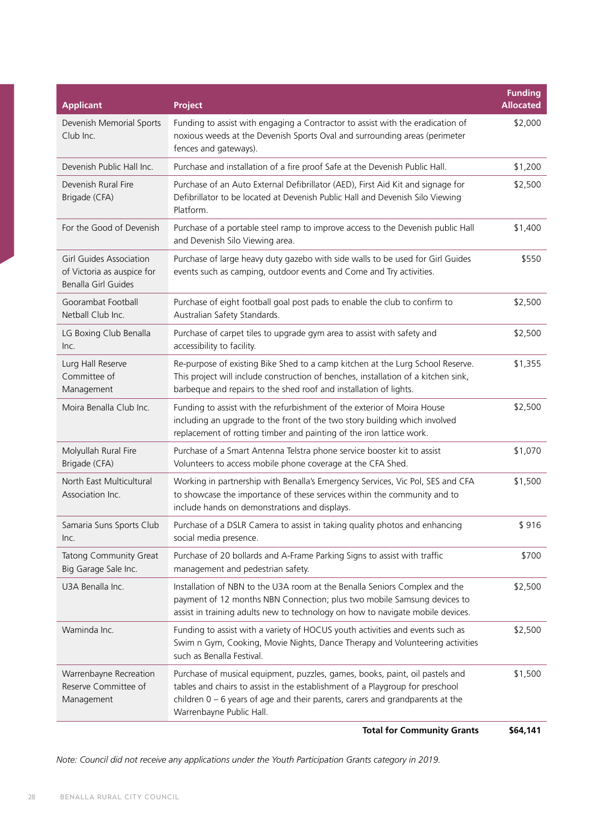| <b>Project</b>                                                                                                                                                                                                                                                               | Funding<br><b>Allocated</b> |
|------------------------------------------------------------------------------------------------------------------------------------------------------------------------------------------------------------------------------------------------------------------------------|-----------------------------|
| Funding to assist with engaging a Contractor to assist with the eradication of<br>noxious weeds at the Devenish Sports Oval and surrounding areas (perimeter<br>fences and gateways).                                                                                        | \$2,000                     |
| Purchase and installation of a fire proof Safe at the Devenish Public Hall.                                                                                                                                                                                                  | \$1,200                     |
| Purchase of an Auto External Defibrillator (AED), First Aid Kit and signage for<br>Defibrillator to be located at Devenish Public Hall and Devenish Silo Viewing<br>Platform.                                                                                                | \$2,500                     |
| Purchase of a portable steel ramp to improve access to the Devenish public Hall<br>and Devenish Silo Viewing area.                                                                                                                                                           | \$1,400                     |
| Purchase of large heavy duty gazebo with side walls to be used for Girl Guides<br>events such as camping, outdoor events and Come and Try activities.                                                                                                                        | \$550                       |
| Purchase of eight football goal post pads to enable the club to confirm to<br>Australian Safety Standards.                                                                                                                                                                   | \$2,500                     |
| Purchase of carpet tiles to upgrade gym area to assist with safety and<br>accessibility to facility.                                                                                                                                                                         | \$2,500                     |
| Re-purpose of existing Bike Shed to a camp kitchen at the Lurg School Reserve.<br>This project will include construction of benches, installation of a kitchen sink,<br>barbeque and repairs to the shed roof and installation of lights.                                    | \$1,355                     |
| Funding to assist with the refurbishment of the exterior of Moira House<br>including an upgrade to the front of the two story building which involved<br>replacement of rotting timber and painting of the iron lattice work.                                                | \$2,500                     |
| Purchase of a Smart Antenna Telstra phone service booster kit to assist<br>Volunteers to access mobile phone coverage at the CFA Shed.                                                                                                                                       | \$1,070                     |
| Working in partnership with Benalla's Emergency Services, Vic Pol, SES and CFA<br>to showcase the importance of these services within the community and to<br>include hands on demonstrations and displays.                                                                  | \$1,500                     |
| Purchase of a DSLR Camera to assist in taking quality photos and enhancing<br>social media presence.                                                                                                                                                                         | \$916                       |
| Purchase of 20 bollards and A-Frame Parking Signs to assist with traffic<br>management and pedestrian safety.                                                                                                                                                                | \$700                       |
| Installation of NBN to the U3A room at the Benalla Seniors Complex and the<br>payment of 12 months NBN Connection; plus two mobile Samsung devices to<br>assist in training adults new to technology on how to navigate mobile devices.                                      | \$2,500                     |
| Funding to assist with a variety of HOCUS youth activities and events such as<br>Swim n Gym, Cooking, Movie Nights, Dance Therapy and Volunteering activities<br>such as Benalla Festival.                                                                                   | \$2,500                     |
| Purchase of musical equipment, puzzles, games, books, paint, oil pastels and<br>tables and chairs to assist in the establishment of a Playgroup for preschool<br>children $0 - 6$ years of age and their parents, carers and grandparents at the<br>Warrenbayne Public Hall. | \$1,500                     |
|                                                                                                                                                                                                                                                                              |                             |

**Total for Community Grants \$64,141**

*Note: Council did not receive any applications under the Youth Participation Grants category in 2019.*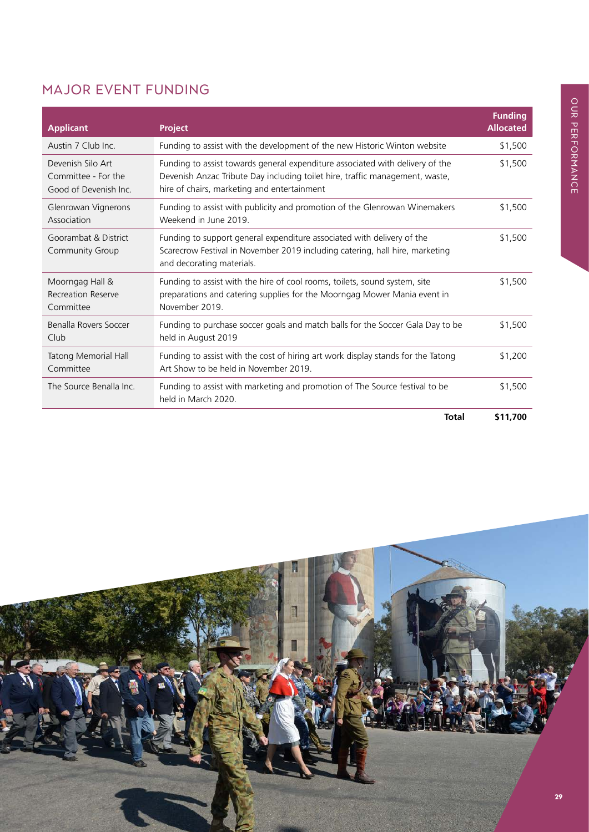## Major Event Funding

| <b>Applicant</b>                                                  | <b>Project</b>                                                                                                                                                                                               | <b>Funding</b><br><b>Allocated</b> |
|-------------------------------------------------------------------|--------------------------------------------------------------------------------------------------------------------------------------------------------------------------------------------------------------|------------------------------------|
| Austin 7 Club Inc.                                                | Funding to assist with the development of the new Historic Winton website                                                                                                                                    | \$1,500                            |
| Devenish Silo Art<br>Committee - For the<br>Good of Devenish Inc. | Funding to assist towards general expenditure associated with delivery of the<br>Devenish Anzac Tribute Day including toilet hire, traffic management, waste,<br>hire of chairs, marketing and entertainment | \$1,500                            |
| Glenrowan Vignerons<br>Association                                | Funding to assist with publicity and promotion of the Glenrowan Winemakers<br>Weekend in June 2019                                                                                                           | \$1,500                            |
| Goorambat & District<br>Community Group                           | Funding to support general expenditure associated with delivery of the<br>Scarecrow Festival in November 2019 including catering, hall hire, marketing<br>and decorating materials.                          | \$1,500                            |
| Moorngag Hall &<br><b>Recreation Reserve</b><br>Committee         | Funding to assist with the hire of cool rooms, toilets, sound system, site<br>preparations and catering supplies for the Moorngag Mower Mania event in<br>November 2019.                                     | \$1,500                            |
| Benalla Rovers Soccer<br>Club                                     | Funding to purchase soccer goals and match balls for the Soccer Gala Day to be<br>held in August 2019                                                                                                        | \$1,500                            |
| <b>Tatong Memorial Hall</b><br>Committee                          | Funding to assist with the cost of hiring art work display stands for the Tatong<br>Art Show to be held in November 2019.                                                                                    | \$1,200                            |
| The Source Benalla Inc.                                           | Funding to assist with marketing and promotion of The Source festival to be<br>held in March 2020.                                                                                                           | \$1,500                            |
|                                                                   | <b>Total</b>                                                                                                                                                                                                 | \$11,700                           |

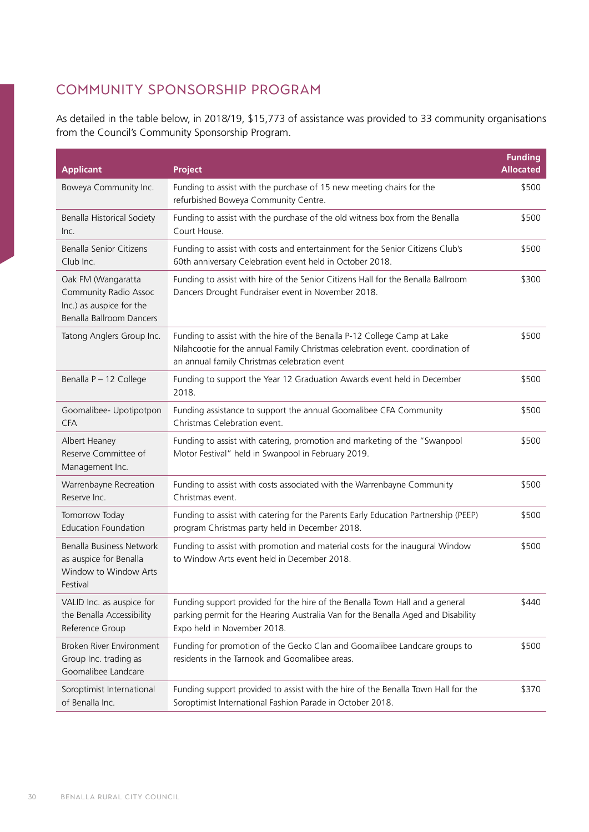## Community Sponsorship Program

As detailed in the table below, in 2018/19, \$15,773 of assistance was provided to 33 community organisations from the Council's Community Sponsorship Program.

| <b>Applicant</b>                                                                                           | <b>Project</b>                                                                                                                                                                                             | <b>Funding</b><br><b>Allocated</b> |
|------------------------------------------------------------------------------------------------------------|------------------------------------------------------------------------------------------------------------------------------------------------------------------------------------------------------------|------------------------------------|
| Boweya Community Inc.                                                                                      | Funding to assist with the purchase of 15 new meeting chairs for the<br>refurbished Boweya Community Centre.                                                                                               | \$500                              |
| Benalla Historical Society<br>Inc.                                                                         | Funding to assist with the purchase of the old witness box from the Benalla<br>Court House.                                                                                                                | \$500                              |
| <b>Benalla Senior Citizens</b><br>Club Inc.                                                                | Funding to assist with costs and entertainment for the Senior Citizens Club's<br>60th anniversary Celebration event held in October 2018.                                                                  | \$500                              |
| Oak FM (Wangaratta<br><b>Community Radio Assoc</b><br>Inc.) as auspice for the<br>Benalla Ballroom Dancers | Funding to assist with hire of the Senior Citizens Hall for the Benalla Ballroom<br>Dancers Drought Fundraiser event in November 2018.                                                                     | \$300                              |
| Tatong Anglers Group Inc.                                                                                  | Funding to assist with the hire of the Benalla P-12 College Camp at Lake<br>Nilahcootie for the annual Family Christmas celebration event. coordination of<br>an annual family Christmas celebration event | \$500                              |
| Benalla P - 12 College                                                                                     | Funding to support the Year 12 Graduation Awards event held in December<br>2018.                                                                                                                           | \$500                              |
| Goomalibee- Upotipotpon<br><b>CFA</b>                                                                      | Funding assistance to support the annual Goomalibee CFA Community<br>Christmas Celebration event.                                                                                                          | \$500                              |
| Albert Heaney<br>Reserve Committee of<br>Management Inc.                                                   | Funding to assist with catering, promotion and marketing of the "Swanpool<br>Motor Festival" held in Swanpool in February 2019.                                                                            | \$500                              |
| Warrenbayne Recreation<br>Reserve Inc.                                                                     | Funding to assist with costs associated with the Warrenbayne Community<br>Christmas event.                                                                                                                 | \$500                              |
| Tomorrow Today<br><b>Education Foundation</b>                                                              | Funding to assist with catering for the Parents Early Education Partnership (PEEP)<br>program Christmas party held in December 2018.                                                                       | \$500                              |
| Benalla Business Network<br>as auspice for Benalla<br>Window to Window Arts<br>Festival                    | Funding to assist with promotion and material costs for the inaugural Window<br>to Window Arts event held in December 2018.                                                                                | \$500                              |
| VALID Inc. as auspice for<br>the Benalla Accessibility<br>Reference Group                                  | Funding support provided for the hire of the Benalla Town Hall and a general<br>parking permit for the Hearing Australia Van for the Benalla Aged and Disability<br>Expo held in November 2018.            | \$440                              |
| Broken River Environment<br>Group Inc. trading as<br>Goomalibee Landcare                                   | Funding for promotion of the Gecko Clan and Goomalibee Landcare groups to<br>residents in the Tarnook and Goomalibee areas.                                                                                | \$500                              |
| Soroptimist International<br>of Benalla Inc.                                                               | Funding support provided to assist with the hire of the Benalla Town Hall for the<br>Soroptimist International Fashion Parade in October 2018.                                                             | \$370                              |